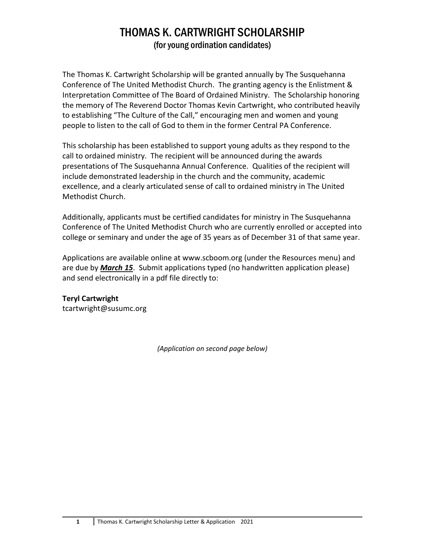## THOMAS K. CARTWRIGHT SCHOLARSHIP (for young ordination candidates)

The Thomas K. Cartwright Scholarship will be granted annually by The Susquehanna Conference of The United Methodist Church. The granting agency is the Enlistment & Interpretation Committee of The Board of Ordained Ministry. The Scholarship honoring the memory of The Reverend Doctor Thomas Kevin Cartwright, who contributed heavily to establishing "The Culture of the Call," encouraging men and women and young people to listen to the call of God to them in the former Central PA Conference.

This scholarship has been established to support young adults as they respond to the call to ordained ministry. The recipient will be announced during the awards presentations of The Susquehanna Annual Conference. Qualities of the recipient will include demonstrated leadership in the church and the community, academic excellence, and a clearly articulated sense of call to ordained ministry in The United Methodist Church.

Additionally, applicants must be certified candidates for ministry in The Susquehanna Conference of The United Methodist Church who are currently enrolled or accepted into college or seminary and under the age of 35 years as of December 31 of that same year.

Applications are available online at www.scboom.org (under the Resources menu) and are due by *March 15*. Submit applications typed (no handwritten application please) and send electronically in a pdf file directly to:

## **Teryl Cartwright**

tcartwright@susumc.org

*(Application on second page below)*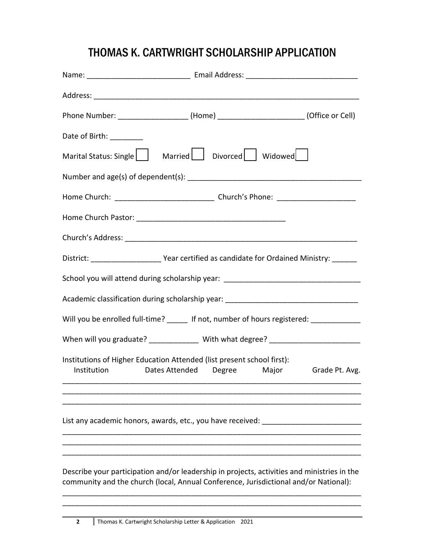## THOMAS K. CARTWRIGHT SCHOLARSHIP APPLICATION

| Phone Number: ______________________(Home) _________________________(Office or Cell)                                                                                                |  |  |  |  |
|-------------------------------------------------------------------------------------------------------------------------------------------------------------------------------------|--|--|--|--|
| Date of Birth: ________                                                                                                                                                             |  |  |  |  |
| Marital Status: Single   Married   Divorced   Widowed                                                                                                                               |  |  |  |  |
|                                                                                                                                                                                     |  |  |  |  |
|                                                                                                                                                                                     |  |  |  |  |
|                                                                                                                                                                                     |  |  |  |  |
|                                                                                                                                                                                     |  |  |  |  |
| District: __________________________________Year certified as candidate for Ordained Ministry: __________                                                                           |  |  |  |  |
| School you will attend during scholarship year: ________________________________                                                                                                    |  |  |  |  |
| Academic classification during scholarship year: _______________________________                                                                                                    |  |  |  |  |
| Will you be enrolled full-time? ______ If not, number of hours registered: ___________                                                                                              |  |  |  |  |
| When will you graduate? _______________ With what degree? ______________________                                                                                                    |  |  |  |  |
| Institutions of Higher Education Attended (list present school first):                                                                                                              |  |  |  |  |
| Institution Dates Attended Degree Major Grade Pt. Avg.                                                                                                                              |  |  |  |  |
|                                                                                                                                                                                     |  |  |  |  |
| List any academic honors, awards, etc., you have received:                                                                                                                          |  |  |  |  |
|                                                                                                                                                                                     |  |  |  |  |
| Describe your participation and/or leadership in projects, activities and ministries in the<br>community and the church (local, Annual Conference, Jurisdictional and/or National): |  |  |  |  |

\_\_\_\_\_\_\_\_\_\_\_\_\_\_\_\_\_\_\_\_\_\_\_\_\_\_\_\_\_\_\_\_\_\_\_\_\_\_\_\_\_\_\_\_\_\_\_\_\_\_\_\_\_\_\_\_\_\_\_\_\_\_\_\_\_\_\_\_\_\_\_\_ \_\_\_\_\_\_\_\_\_\_\_\_\_\_\_\_\_\_\_\_\_\_\_\_\_\_\_\_\_\_\_\_\_\_\_\_\_\_\_\_\_\_\_\_\_\_\_\_\_\_\_\_\_\_\_\_\_\_\_\_\_\_\_\_\_\_\_\_\_\_\_\_